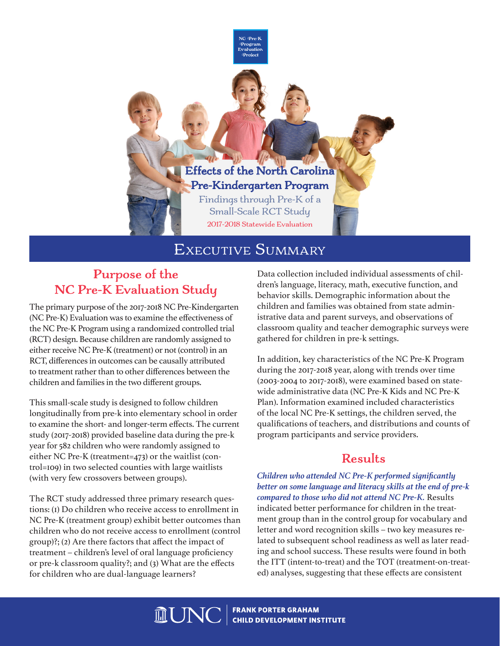Effects of the North Carolina Effects of the North Carolina Pre-Kindergarten Program Pre-Kindergarten Program Findings through Pre-K of a Findings through Pre-K of a aings through P

NC Pre-K Program Evaluation Project

Small-Scale RCT Study 2017-2018 Statewide Evaluation

# Executive Summary

## **Purpose of the NC Pre-K Evaluation Study**

The primary purpose of the 2017-2018 NC Pre-Kindergarten (NC Pre-K) Evaluation was to examine the effectiveness of the NC Pre-K Program using a randomized controlled trial (RCT) design. Because children are randomly assigned to either receive NC Pre-K (treatment) or not (control) in an RCT, differences in outcomes can be causally attributed to treatment rather than to other differences between the children and families in the two different groups.

This small-scale study is designed to follow children longitudinally from pre-k into elementary school in order to examine the short- and longer-term effects. The current study (2017-2018) provided baseline data during the pre-k year for 582 children who were randomly assigned to either NC Pre-K (treatment=473) or the waitlist (control=109) in two selected counties with large waitlists (with very few crossovers between groups).

The RCT study addressed three primary research questions: (1) Do children who receive access to enrollment in NC Pre-K (treatment group) exhibit better outcomes than children who do not receive access to enrollment (control group)?; (2) Are there factors that affect the impact of treatment – children's level of oral language proficiency or pre-k classroom quality?; and (3) What are the effects for children who are dual-language learners?

Data collection included individual assessments of children's language, literacy, math, executive function, and behavior skills. Demographic information about the children and families was obtained from state administrative data and parent surveys, and observations of classroom quality and teacher demographic surveys were gathered for children in pre-k settings.

> In addition, key characteristics of the NC Pre-K Program during the 2017-2018 year, along with trends over time (2003-2004 to 2017-2018), were examined based on statewide administrative data (NC Pre-K Kids and NC Pre-K Plan). Information examined included characteristics of the local NC Pre-K settings, the children served, the qualifications of teachers, and distributions and counts of program participants and service providers.

### **Results**

*Children who attended NC Pre-K performed significantly better on some language and literacy skills at the end of pre-k compared to those who did not attend NC Pre-K.* Results indicated better performance for children in the treatment group than in the control group for vocabulary and letter and word recognition skills – two key measures related to subsequent school readiness as well as later reading and school success. These results were found in both the ITT (intent-to-treat) and the TOT (treatment-on-treated) analyses, suggesting that these effects are consistent